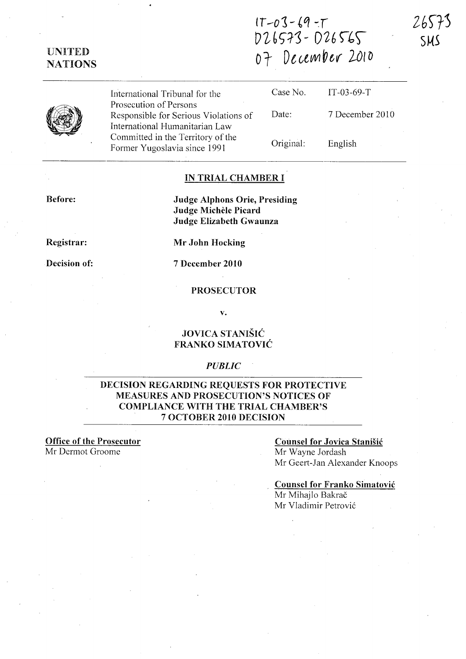IT -01- *£q* -:r 026573 - 026565 07 December 2010



International Tribunal for the Prosecution of Persons Responsible for Serious Violations of International Humanitarian Law Committed in the Territory of the Former Yugoslavia since 1991 Case No. Date: Original: IT-03-69-T 7 December 2010 English

# IN TRIAL CHAMBER I

Before:

Judge Alphons Orie, Presiding Judge Michele Picard Judge Elizabeth Gwaunza

Registrar:

Mr John Hocking

Decision of:

7 December 2010

PROSECUTOR

v.

# JOVICA STANISIC FRANKO SIMATOVIC

### *PUBLIC*

# DECISION REGARDING REQUESTS FOR PROTECTIVE MEASURES AND PROSECUTION'S NOTICES OF COMPLIANCE WITH THE TRIAL CHAMBER'S 7 OCTOBER 2010 DECISION

Office of the Prosecutor Mr Dermot Groome

### Counsel for Jovica Stanisic Mr Wayne Jordash Mr Geert-Jan Alexander Knoops

Counsel for Franko Simatovic Mr Mihajlo Bakrač Mr Vladimir Petrovic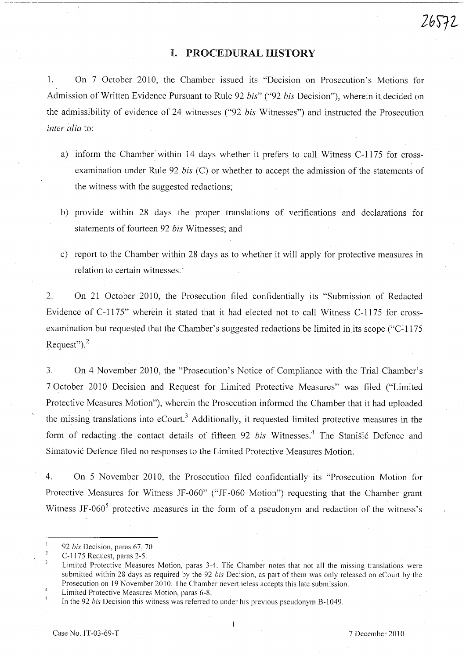# **I.** PROCEDURAL **HISTORY**

1. On 7 October 2010, the Chamber issued its "Decision on Prosecution's Motions for Admission of Written Evidence Pursuant to Rule 92 *bis*" ("92 *bis* Decision"), wherein it decided on the admissibility of evidence of 24 witnesses ("92 *bis* Witnesses") and instructed the Prosecution *inter alia* to:

- a) inform the Chamber within 14 days whether it prefers to call Witness C-1175 for crossexamination under Rule 92 *bis* (C) or whether to accept the admission of the statements of the witness with the suggested redactions;
- b) provide within 28 days the proper translations of verifications and declarations for statements of fourteen 92 *bis* Witnesses; and
- c) report to the Chamber within 28 days as to whether it will apply for protective measures in relation to certain witnesses.<sup>1</sup>

2. On 21 October 2010, the Prosecution filed confidentially its "Submission of Redacted Evidence of C-1175" wherein it stated that it had elected not to call Witness C-1175 for crossexamination but requested that the Chamber's suggested redactions be limited in its scope ("C-1175") Request" $)$ ,  $^{2}$ 

3. On 4 November 2010, the "Prosecution's Notice of Compliance with the Trial Chamber's 7 October 2010 Decision and Request for Limited Protective Measures" was filed ("Limited Protective Measures Motion"), wherein the Prosecution informed the Chamber that it had uploaded the missing translations into  $e$ Court.<sup>3</sup> Additionally, it requested limited protective measures in the form of redacting the contact details of fifteen 92 *bis* Witnesses.<sup>4</sup> The Stanisic Defence and Simatovi6 Defence filed no responses to the Limited Protective Measures Motion.

4. On 5 November 2010, the Prosecution filed confidentially its "Prosecution Motion for Protective Measures for Witness JF-060" ("JF-060 Motion") requesting that the Chamber grant Witness JF-060<sup>5</sup> protective measures in the form of a pseudonym and redaction of the witness's

 $\mathbf{1}$ *92 bis* Decision, paras 67, 70.

 $\overline{2}$ C-1175 Request, paras 2-5.

 $\overline{\mathbf{3}}$ Limited Protective Measures Motion, paras 3-4. The Chamber notes that not all the missing translations were submitted within 28 days as required by the 92 *bis* Decision, as part of them was only released on eCourt by the Prosecution on 19 November 2010. The Chamber nevertheless accepts this late submission.

 $\overline{4}$ Limited Protective Measures Motion, paras 6-8.  $\overline{5}$ 

In the 92 *bis* Decision this witness was referred to under his previous pseudonym B-1049.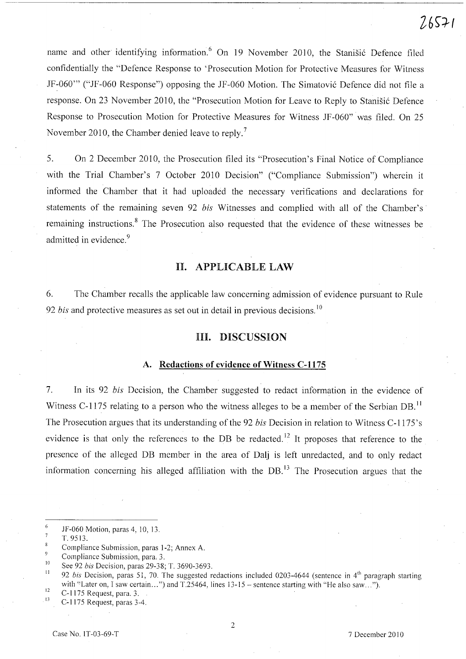name and other identifying information.<sup>6</sup> On 19 November 2010, the Stanisic Defence filed confidentially the "Defence Response to 'Prosecution Motion for Protective Measures for Witness JF-060'" ("JF-060 Response") opposing the JF-060 Motion. The Simatovic Defence did not file a response. On 23 November 2010, the "Prosecution Motion for Leave to Reply to Stanisic Defence Response to Prosecution Motion for Protective Measures for Witness JF-060" was filed. On 25 November 2010, the Chamber denied leave to reply.<sup>7</sup>

5. On 2 December 2010, the Prosecution filed its "Prosecution's Final Notice of Compliance with the Trial Chamber's 7 October 2010 Decision" ("Compliance Submission") wherein it informed the Chamber that it had uploaded the necessary verifications and declarations for statements of the remaining seven 92 *bis* Witnesses and complied with all of the Chamber's· remaining instructions.<sup>8</sup> The Prosecution also requested that the evidence of these witnesses be admitted in evidence.<sup>9</sup>

# H. APPLICABLE LAW

6. The Chamber recalls the applicable law concerning admission of evidence pursuant to Rule 92 *bis* and protective measures as set out in detail in previous decisions.<sup>10</sup>

### HI. DISCUSSION

#### A. Redactions of evidence of Witness C-1175

7. In its 92 *bis* Decision, the Chamber suggested to redact information in the evidence of Witness C-1175 relating to a person who the witness alleges to be a member of the Serbian DB.<sup>11</sup> The Prosecution argues that its understanding of the 92 *bis* Decision in relation to Witness C-1175's evidence is that only the references to the DB be redacted.<sup>12</sup> It proposes that reference to the presence of the alleged DB member in the area of Dalj is left unredacted, and to only redact information concerning his alleged affiliation with the  $DB<sup>13</sup>$ . The Prosecution argues that the

6 JF-060 Motion, paras 4,10, 13.

11 12 92 bis Decision, paras 51, 70. The suggested redactions included 0203-4644 (sentence in 4<sup>th</sup> paragraph starting with "Later on, I saw certain...") and  $T.25464$ , lines  $13-15$  – sentence starting with "He also saw...").

13 C-I 175 Request, para. 3.

C-1175 Request, paras 3-4.

2

 $\overline{7}$ T.9513.

 $\bf 8$ Compliance Submission, paras 1-2; Annex A.

 $\overline{9}$ Compliance Submission, para. 3.

<sup>10</sup>  See 92 *bis* Decision, paras 29-38; T. 3690-3693.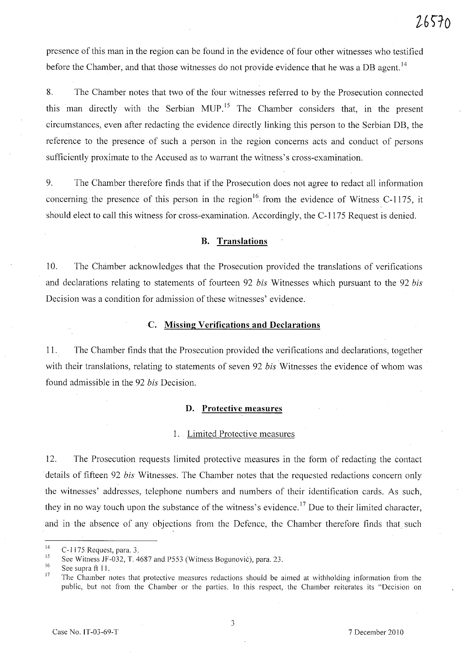presence of this man in the region can be found in the evidence of four other witnesses who testified before the Chamber, and that those witnesses do not provide evidence that he was a DB agent.<sup>14</sup>

8. The Chamber notes that two of the four witnesses referred to by the Prosecution connected this man directly with the Serbian MUP.<sup>15</sup> The Chamber considers that, in the present circumstances, even after redacting the evidence directly linking this person to the Serbian DB, the reference to the presence of such a person in the region concerns acts and conduct of persons sufficiently proximate to the Accused as to warrant the witness's cross-examination.

9. The Chamber therefore finds that if the Prosecution does not agree to redact all information concerning the presence of this person in the region  $16 \text{ from the evidence of Witness C-1175}$ , it should elect to call this witness for cross-examination. Accordingly, the C-1175 Request is denied.

#### **B. Translations**

10. The Chamber acknowledges that the Prosecution provided the translations of verifications and declarations relating to statements of fourteen 92 *bis* Witnesses which pursuant to the 92 *bis*  Decision was a condition for admission of these witnesses' evidence.

#### C. **Missing Verifications and Declarations**

11. The Chamber finds that the Prosecution provided the verifications and declarations, together with their translations, relating to statements of seven 92 *bis* Witnesses the evidence of whom was found admissible in the 92 *bis* Decision.

#### **D. Protective measures**

# 1. Limited Protective measures

12. The Prosecution requests limited protective measures in the form of redacting the contact details of fifteen 92 *bis* Witnesses. The Chamber notes that the requested redactions concern only the witnesses' addresses, telephone numbers and numbers of their identification cards. As such, they in no way touch upon the substance of the witness's evidence.<sup>17</sup> Due to their limited character, and in the absence of any objections from the Defence, the Chamber therefore finds that such

<sup>14</sup>  C-1175 Request, para. 3.

<sup>15</sup>  See Witness JF-032, T. 4687 and P553 (Witness Bogunovic), para. 23.

<sup>16</sup>  See supra ft 11.

<sup>17</sup>  The Chamber notes that protective measures redactions should be aimed at withholding information from the public, but not from the Chamber or the parties. In this respect, the Chamber reiterates its "Decision on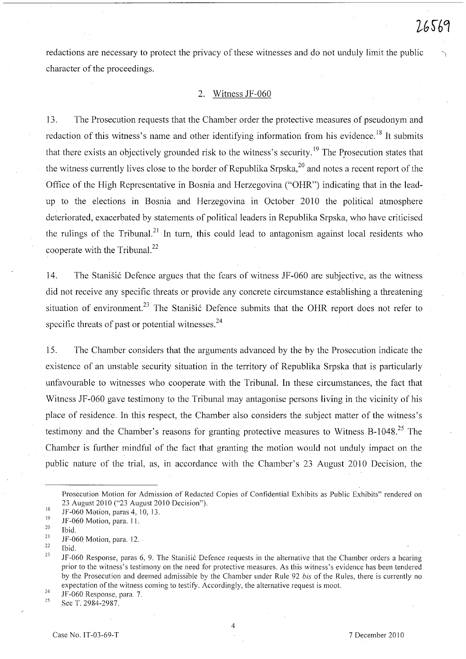redactions are necessary to protect the privacy of these witnesses and do not unduly limit the public character of the proceedings.

#### 2. Witness JF-060

13. The Prosecution requests that the Chamber order the protective measures of pseudonym and redaction of this witness's name and other identifying information from his evidence.<sup>18</sup> It submits that there exists an objectively grounded risk to the witness's security.<sup>19</sup> The Prosecution states that the witness currently lives close to the border of Republika Srpska, $^{20}$  and notes a recent report of the Office of the High Representative in Bosnia and Herzegovina ("OHR") indicating that in the leadup to the elections in Bosnia and Herzegovina in October 2010 the political atmosphere deteriorated, exacerbated by statements of political leaders in Republika Srpska, who have criticised the rulings of the Tribunal.<sup>21</sup> In turn, this could lead to antagonism against local residents who cooperate with the Tribunal. $^{22}$ 

14. The Stanisic Defence argues that the fears of witness JF-060 are subjective, as the witness did not receive any specific threats or provide any concrete circumstance establishing a threatening situation of environment.<sup>23</sup> The Stanišić Defence submits that the OHR report does not refer to specific threats of past or potential witnesses. $24$ 

15. The Chamber considers that the arguments advanced by the by the Prosecution indicate the existence of an unstable security situation in the territory of Republika Srpska that is particularly unfavourable to witnesses who cooperate with the Tribunal. In these circumstances, the fact that Witness JF-060 gave testimony to the Tribunal may antagonise persons living in the vicinity of his place of residence. In this respect, the Chamber also considers the subject matter of the witness's testimony and the Chamber's reasons for granting protective measures to Witness B-1048.<sup>25</sup> The Chamber is further mindful of the fact that granting the motion would not unduly impact on the public nature of the trial, as, in accordance with the Chamber's 23 August 2010 Decision, the

24 25 IF-060 Response, para. 7.

See T. 2984-2987.

4

Prosecution Motion for Admission of Redacted Copies of Confidential Exhibits as Public Exhibits" rendered on 23 August 2010 ("23 August 2010 Decision").

<sup>18</sup>  19 IF-060 Motion, paras 4, 10, 13.

IF-060 Motion, para. 11.

<sup>20</sup>  Ibid.

<sup>21</sup>  IF-060 Motion, para. 12.

<sup>22</sup>  23 Ibid.

JF-060 Response, paras 6, 9. The Stanišić Defence requests in the alternative that the Chamber orders a hearing prior to the witness's testimony on the need for protective measures. As this witness's evidence has been tendered by the Prosecution and deemed admissible by the Chamber under Rule 92 *his* of the Rules, there is currently no expectation of the witness coming to testify. Accordingly, the alternative request is moot.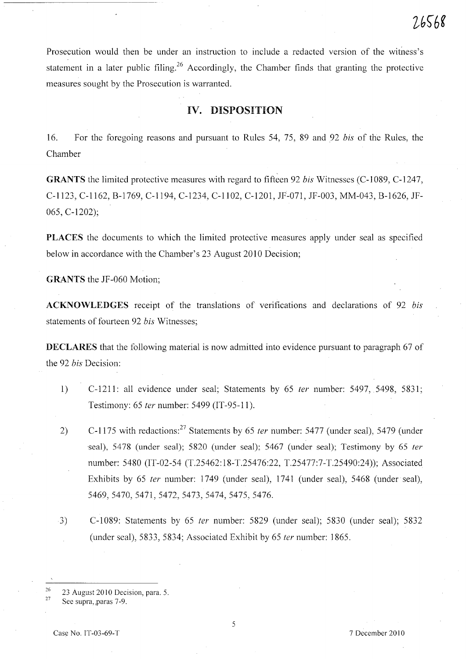Prosecution would then be under an instruction to include a redacted version of the witness's statement in a later public filing.<sup>26</sup> Accordingly, the Chamber finds that granting the protective measures sought by the Prosecution is warranted.

# IV. DISPOSITION

16. For the foregoing reasons and pursuant to Rules 54, 75, 89 and 92 *bis* of the Rules, the Chamber

GRANTS the limited protective measures with regard to fifteen 92 *bis* Witnesses (C-I089, C-1247, C-1123, C-1162, B-1769, C-1194, C-1234, C-II02, C-1201, JF-071, JF-003, MM-043, B-1626, JF-065, C-1202);

PLACES the documents to which the limited protective measures apply under seal as specified below in accordance with the Chamber's 23 August 2010 Decision;

GRANTS the JF-060 Motion;

ACKNOWLEDGES receipt of the translations of verifications and declarations of 92 *bis*  statements of fourteen 92 *bis* Witnesses;

DECLARES that the following material is now admitted into evidence pursuant to paragraph 67 of the 92 *bis* Decision:

- 1) C-1211: all evidence under seal; Statements by 65 *ter* number: 5497, 5498, 5831; Testimony: 65 ter number: 5499 (IT-95-11).
- 2) C-1175 with redactions: <sup>27</sup> Statements by 65 *ter* number: 5477 (under seal), 5479 (under seal), 5478 (under seal); 5820 (under seal); 5467 (under seal); Testimony by 65 *ter*  number: 5480 (IT-02-54 (T.25462:18-T.25476:22, T.25477:7-T.25490:24)); Associated Exhibits by 65 ter number: 1749 (under seal), 1741 (under seal), 5468 (under seal), 5469,5470,5471,5472,5473,5474,5475,5476.
- 3) C-I089: Statements by 65 fer number: 5829 (under seal); 5830 (under seal); 5832 (under seal), 5833, 5834; Associated Exhibit by 65 fer number: 1865.

<sup>26</sup>  27 23 August 2010 Decision, para. 5.

See supra, paras 7-9.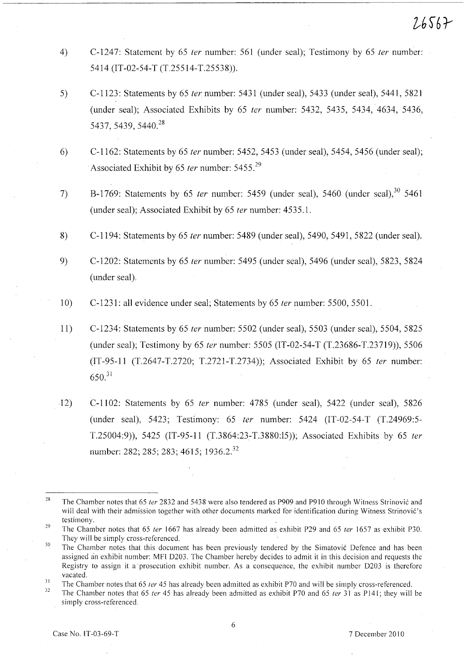- 4) C-1247: Statement by 65 *ter* number: 561 (under seal); Testimony by 65 *ter* number: 5414 {IT-02-54-T (T.25514-T.25538)).
- 5) C-1123: Statements by 65 *ter* number: 5431 (under seal), 5433 (under seal), 5441, 5821 (under seal); Associated Exhibits by 65 *ter* number: 5432, 5435, 5434, 4634, 5436, 5437, 5439, 5440.<sup>28</sup>
- 6) C-1162: Statements by 65 *ter* number: 5452,5453 (under seal), 5454, 5456 (under seal); Associated Exhibit by 65 *ter* number: 5455.<sup>29</sup>
- 7) B-1769: Statements by 65 *ter* number: 5459 (under seal), 5460 (under seal),<sup>30</sup> 5461 (under seal); Associated Exhibit by 65 *ter* number: 4535.1.
- 8) C-1194: Statements by 65 *ter* number: 5489 (under seal), 5490, 5491, 5822 (under seal).

9) C-1202: Statements by 65 *ter* number: 5495 (under seal), 5496 (under seal), 5823, 5824 (under seal).

- 10) C-1231: all evidence under seal; Statements by 65 *ter* number: 5500, 5501.
- 11) C-1234: Statements by 65 *ter* number: 5502 (under seal), 5503 (under seal), 5504, 5825 (under seal); Testimony by 65 *ter* number: 5505 (IT-02-54-T (T.23686-T.23719)), 5506 (IT-95-11 (T.2647-T.2720; T.2721-T.2734)); Associated Exhibit by 65 *ter* number:  $650.<sup>31</sup>$
- 12) C-II02: Statements by 65 *ter* number: 4785 (under seal), 5422 (under seal), 5826 (under seal), 5423; Testimony: 65 *ler* number: 5424 (IT-02-54-T (T.24969:5- T.25004:9)), 5425 (IT-95-11 (T.3864:23-T.3880:l5)); Associated Exhibits by 65 *ter*  number: 282; 285; 283; 4615; 1936.2.<sup>32</sup>

<sup>28</sup>  The Chamber notes that 65 ter 2832 and 5438 were also tendered as P909 and P910 through Witness Strinović and will deal with their admission together with other documents marked for identification during Witness Strinovic's testimony.

<sup>29</sup>  The Chamber notes that 65 ter 1667 has already been admitted as exhibit P29 and 65 ter 1657 as exhibit P30. They will be simply cross-referenced.

<sup>30</sup>  The Chamber notes that this document has been previously tendered by the Simatovic Defence and has been assigned an exhibit number: MFI 0203. The Chamber hereby decides to admit it in this decision and requests the Registry to assign it a prosecution exhibit number. As a consequence, the exhibit number 0203 is therefore vacated.

<sup>31</sup>  The Chamber notes that 65 *ter* 45 has already been admitted as exhibit P70 and will be simply cross-referenced.

<sup>32</sup>  The Chamber notes that 65 ter 45 has already been admitted as exhibit P70 and 65 ter 31 as P141; they will be simply cross-referenced.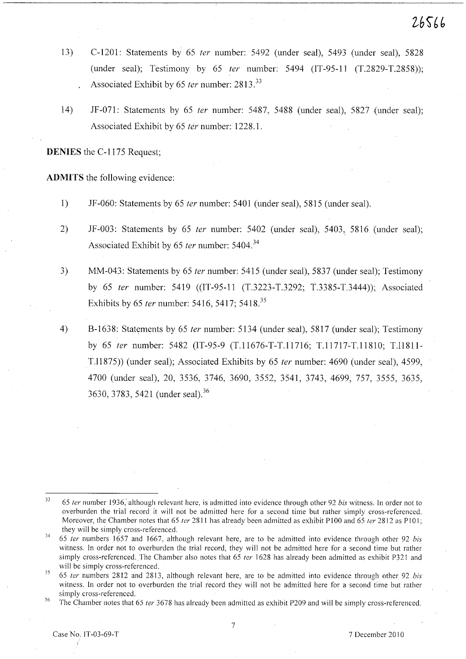- 13) C-1201: Statements by 65 fer number: 5492 (under *seal),* 5493 (under seal), 5828 (under seal); Testimony by 65 fer number: 5494 (IT-95-11 (T.2829-T.2858)); Associated Exhibit by 65 ter number: 2813.<sup>33</sup>
- 14) JF-071: Statements by 65 ter number: 5487, 5488 (under seal), 5827 (under seal); Associated Exhibit by 65 fer number: 1228.1.

DENIES the C-1175 Request;

ADMITS the following evidence:

- 1) JF-060: Statements by 65 *ter* number: 5401 (under seal), 5815 (under seal).
- 2) JF-003: Statements by 65 ter number: 5402 (under seal), 5403, 5816 (under seal); Associated Exhibit by 65 ter number: 5404.<sup>34</sup>
- 3) MM-043: Statements by 65 fer number: 5415 (under seal), 5837 (under seal); Testimony by 65 ter number: 5419 ((IT-95-11 (T.3223-T.3292; T.3385-T.3444)); Associated Exhibits by 65 *ter* number: 5416, 5417; 5418.<sup>35</sup>
- 4) B-1638: Statements by 65 *ter* number: 5134 (under seal), 5817 (under seal); Testimony by 65 ler number: 5482 (1T-95-9 (T.11676-T-T.11716; T.11717-T.11810; T.11811- T.11875)) (under seal); Associated Exhibits by 65 fer number: 4690 (under seal), 4599, 4700 (under seal), 20, 3536, 3746, 3690, 3552, 3541, 3743, 4699, 757, 3555, 3635, 3630, 3783, 5421 (under seal).<sup>36</sup>

<sup>33</sup>**65 fer number 1936; although relevant here, is admitted into evidence through other 92 his witness. In order not to**  overburden the trial record it will not be admitted here for a second time but rather simply cross-referenced. Moreover, the Chamber notes that 65 ter 2811 has already been admitted as exhibit P100 and 65 ter 2812 as P101;

they will be simply cross-referenced.<br><sup>34</sup> 65 ter numbers 1657 and 1667, although relevant here, are to be admitted into evidence through other 92 bis witness. In order not to overburden the trial record, they will not be admitted here for a second time but rather simply cross-referenced. The Chamber also notes that 65 *ter* 1628 has already been admitted as exhibit P321 and will be simply cross-referenced.

<sup>&</sup>lt;sup>35</sup> 65 ter numbers 2812 and 2813, although relevant here, are to be admitted into evidence through other 92 bis witness. In order not to overburden the trial record they will not be admitted here for a second time but rather simply cross-referenced.

 $36$  The Chamber notes that 65 ter 3678 has already been admitted as exhibit P209 and will be simply cross-referenced.